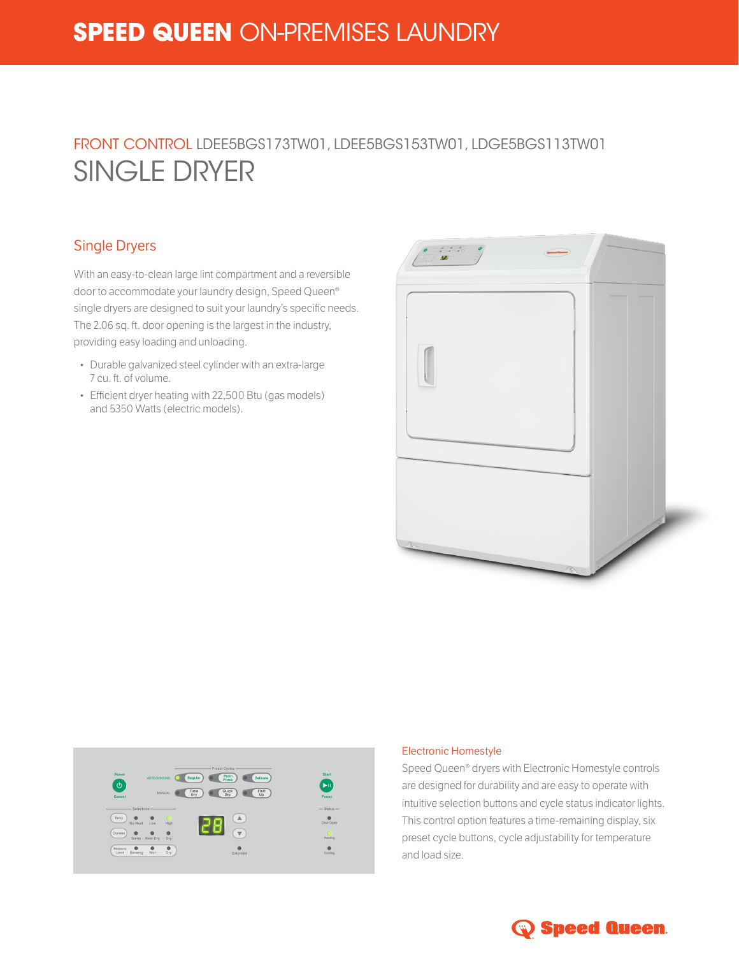# **SPEED QUEEN** ON-PREMISES LAUNDRY

# FRONT CONTROL LDEE5BGS173TW01, LDEE5BGS153TW01, LDGE5BGS113TW01 SINGLE DRYER

### Single Dryers

With an easy-to-clean large lint compartment and a reversible door to accommodate your laundry design, Speed Queen® single dryers are designed to suit your laundry's specific needs. The 2.06 sq. ft. door opening is the largest in the industry, providing easy loading and unloading.

- Durable galvanized steel cylinder with an extra-large 7 cu. ft. of volume.
- Efficient dryer heating with 22,500 Btu (gas models) and 5350 Watts (electric models).





#### Electronic Homestyle

Speed Queen® dryers with Electronic Homestyle controls are designed for durability and are easy to operate with intuitive selection buttons and cycle status indicator lights. This control option features a time-remaining display, six preset cycle buttons, cycle adjustability for temperature and load size.